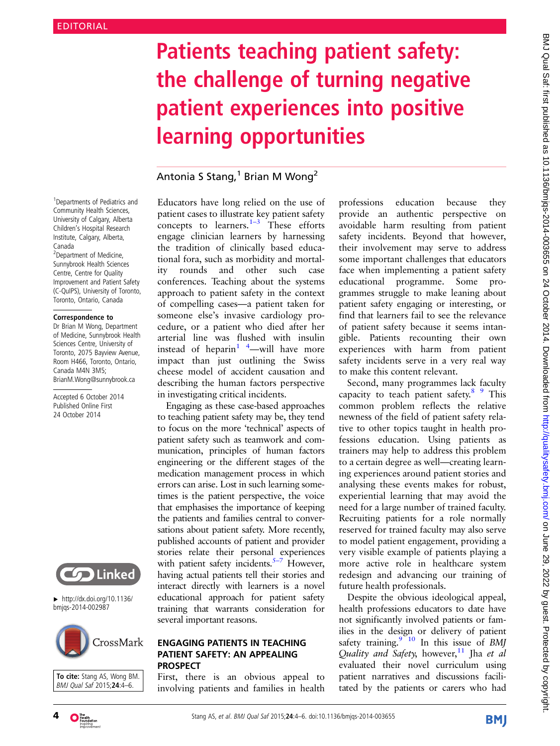# Patients teaching patient safety: the challenge of turning negative patient experiences into positive learning opportunities

# Antonia S Stang, $1$  Brian M Wong<sup>2</sup>

<sup>1</sup> Departments of Pediatrics and Community Health Sciences, University of Calgary, Alberta Children's Hospital Research Institute, Calgary, Alberta, Canada <sup>2</sup>Department of Medicine,

Sunnybrook Health Sciences Centre, Centre for Quality Improvement and Patient Safety (C-QuIPS), University of Toronto, Toronto, Ontario, Canada

#### Correspondence to

Dr Brian M Wong, Department of Medicine, Sunnybrook Health Sciences Centre, University of Toronto, 2075 Bayview Avenue, Room H466, Toronto, Ontario, Canada M4N 3M5; BrianM.Wong@sunnybrook.ca

Accepted 6 October 2014 Published Online First 24 October 2014



▸ [http://dx.doi.org/10.1136/](http://dx.doi.org/10.1136/bmjqs-2014-002987) [bmjqs-2014-002987](http://dx.doi.org/10.1136/bmjqs-2014-002987)



To cite: Stang AS, Wong BM. BMJ Qual Saf 2015;24:4–6.

Educators have long relied on the use of patient cases to illustra[te k](#page-2-0)ey patient safety concepts to learners. $1-3$  These efforts engage clinician learners by harnessing the tradition of clinically based educational fora, such as morbidity and mortality rounds and other such case conferences. Teaching about the systems approach to patient safety in the context of compelling cases—a patient taken for someone else's invasive cardiology procedure, or a patient who died after her arterial line was flushed with insulin instead of heparin<sup>1</sup> <sup>4</sup>—will have more impact than just outlining the Swiss cheese model of accident causation and describing the human factors perspective in investigating critical incidents.

Engaging as these case-based approaches to teaching patient safety may be, they tend to focus on the more 'technical' aspects of patient safety such as teamwork and communication, principles of human factors engineering or the different stages of the medication management process in which errors can arise. Lost in such learning sometimes is the patient perspective, the voice that emphasises the importance of keeping the patients and families central to conversations about patient safety. More recently, published accounts of patient and provider stories relate their personal experiences with patient safety incidents.<sup>[5](#page-2-0)-7</sup> However, having actual patients tell their stories and interact directly with learners is a novel educational approach for patient safety training that warrants consideration for several important reasons.

## ENGAGING PATIENTS IN TEACHING PATIENT SAFETY: AN APPEALING PROSPECT

First, there is an obvious appeal to involving patients and families in health professions education because they provide an authentic perspective on avoidable harm resulting from patient safety incidents. Beyond that however, their involvement may serve to address some important challenges that educators face when implementing a patient safety educational programme. Some programmes struggle to make leaning about patient safety engaging or interesting, or find that learners fail to see the relevance of patient safety because it seems intangible. Patients recounting their own experiences with harm from patient safety incidents serve in a very real way to make this content relevant.

Second, many programmes lack faculty capacity to teach patient safety. $89$  This common problem reflects the relative newness of the field of patient safety relative to other topics taught in health professions education. Using patients as trainers may help to address this problem to a certain degree as well—creating learning experiences around patient stories and analysing these events makes for robust, experiential learning that may avoid the need for a large number of trained faculty. Recruiting patients for a role normally reserved for trained faculty may also serve to model patient engagement, providing a very visible example of patients playing a more active role in healthcare system redesign and advancing our training of future health professionals.

Despite the obvious ideological appeal, health professions educators to date have not significantly involved patients or families in the design or delivery of patient safety training. $9 - 10$  In this issue of BMJ Quality and Safety, however,<sup>11</sup> Jha et al evaluated their novel curriculum using patient narratives and discussions facilitated by the patients or carers who had



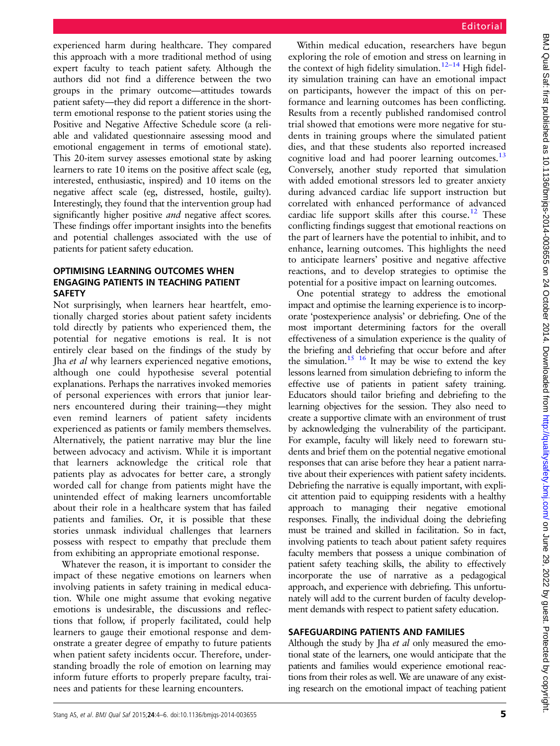experienced harm during healthcare. They compared this approach with a more traditional method of using expert faculty to teach patient safety. Although the authors did not find a difference between the two groups in the primary outcome—attitudes towards patient safety—they did report a difference in the shortterm emotional response to the patient stories using the Positive and Negative Affective Schedule score (a reliable and validated questionnaire assessing mood and emotional engagement in terms of emotional state). This 20-item survey assesses emotional state by asking learners to rate 10 items on the positive affect scale (eg, interested, enthusiastic, inspired) and 10 items on the negative affect scale (eg, distressed, hostile, guilty). Interestingly, they found that the intervention group had significantly higher positive *and* negative affect scores. These findings offer important insights into the benefits and potential challenges associated with the use of patients for patient safety education.

# OPTIMISING LEARNING OUTCOMES WHEN ENGAGING PATIENTS IN TEACHING PATIENT **SAFETY**

Not surprisingly, when learners hear heartfelt, emotionally charged stories about patient safety incidents told directly by patients who experienced them, the potential for negative emotions is real. It is not entirely clear based on the findings of the study by Jha et al why learners experienced negative emotions, although one could hypothesise several potential explanations. Perhaps the narratives invoked memories of personal experiences with errors that junior learners encountered during their training—they might even remind learners of patient safety incidents experienced as patients or family members themselves. Alternatively, the patient narrative may blur the line between advocacy and activism. While it is important that learners acknowledge the critical role that patients play as advocates for better care, a strongly worded call for change from patients might have the unintended effect of making learners uncomfortable about their role in a healthcare system that has failed patients and families. Or, it is possible that these stories unmask individual challenges that learners possess with respect to empathy that preclude them from exhibiting an appropriate emotional response.

Whatever the reason, it is important to consider the impact of these negative emotions on learners when involving patients in safety training in medical education. While one might assume that evoking negative emotions is undesirable, the discussions and reflections that follow, if properly facilitated, could help learners to gauge their emotional response and demonstrate a greater degree of empathy to future patients when patient safety incidents occur. Therefore, understanding broadly the role of emotion on learning may inform future efforts to properly prepare faculty, trainees and patients for these learning encounters.

Within medical education, researchers have begun exploring the role of emotion and stress on learning in the context of high fidelity simulation.<sup>[12](#page-2-0)–14</sup> High fidelity simulation training can have an emotional impact on participants, however the impact of this on performance and learning outcomes has been conflicting. Results from a recently published randomised control trial showed that emotions were more negative for students in training groups where the simulated patient dies, and that these students also reported increased cognitive load and had poorer learning outcomes.<sup>[13](#page-2-0)</sup> Conversely, another study reported that simulation with added emotional stressors led to greater anxiety during advanced cardiac life support instruction but correlated with enhanced performance of advanced cardiac life support skills after this course.<sup>[12](#page-2-0)</sup> These conflicting findings suggest that emotional reactions on the part of learners have the potential to inhibit, and to enhance, learning outcomes. This highlights the need to anticipate learners' positive and negative affective reactions, and to develop strategies to optimise the potential for a positive impact on learning outcomes.

One potential strategy to address the emotional impact and optimise the learning experience is to incorporate 'postexperience analysis' or debriefing. One of the most important determining factors for the overall effectiveness of a simulation experience is the quality of the briefing and debriefing that occur before and after the simulation.<sup>15 16</sup> It may be wise to extend the key lessons learned from simulation debriefing to inform the effective use of patients in patient safety training. Educators should tailor briefing and debriefing to the learning objectives for the session. They also need to create a supportive climate with an environment of trust by acknowledging the vulnerability of the participant. For example, faculty will likely need to forewarn students and brief them on the potential negative emotional responses that can arise before they hear a patient narrative about their experiences with patient safety incidents. Debriefing the narrative is equally important, with explicit attention paid to equipping residents with a healthy approach to managing their negative emotional responses. Finally, the individual doing the debriefing must be trained and skilled in facilitation. So in fact, involving patients to teach about patient safety requires faculty members that possess a unique combination of patient safety teaching skills, the ability to effectively incorporate the use of narrative as a pedagogical approach, and experience with debriefing. This unfortunately will add to the current burden of faculty development demands with respect to patient safety education.

# SAFEGUARDING PATIENTS AND FAMILIES

Although the study by Jha *et al* only measured the emotional state of the learners, one would anticipate that the patients and families would experience emotional reactions from their roles as well. We are unaware of any existing research on the emotional impact of teaching patient